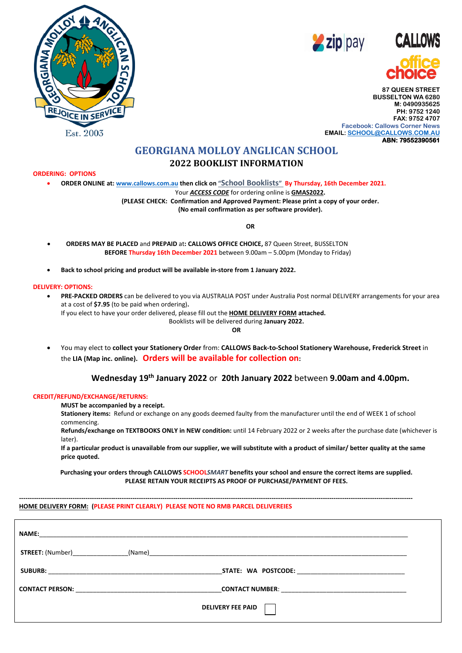





**87 QUEEN STREET BUSSELTON WA 6280 M: 0490935625 PH: 9752 1240 FAX: 9752 4707 Facebook: Callows Corner News EMAIL[: SCHOOL@CALLOWS.COM.AU](mailto:SCHOOL@CALLOWS.COM.AU) ABN: 79552390561** 

## **GEORGIANA MOLLOY ANGLICAN SCHOOL 2022 BOOKLIST INFORMATION**

#### **ORDERING: OPTIONS**

• **ORDER ONLINE at[: www.callows.com.au](http://www.callows.com.au/) then click on "School Booklists" By Thursday, 16th December 2021.**

Your *ACCESS CODE* for ordering online is **GMAS2022.**

**(PLEASE CHECK: Confirmation and Approved Payment: Please print a copy of your order. (No email confirmation as per software provider).**

**OR**

- **ORDERS MAY BE PLACED** and **PREPAID** at**: CALLOWS OFFICE CHOICE,** 87 Queen Street, BUSSELTON **BEFORE Thursday 16th December 2021** between 9.00am – 5.00pm (Monday to Friday)
- **Back to school pricing and product will be available in-store from 1 January 2022.**

#### **DELIVERY: OPTIONS:**

• **PRE-PACKED ORDERS** can be delivered to you via AUSTRALIA POST under Australia Post normal DELIVERY arrangements for your area at a cost of **\$7.95** (to be paid when ordering)**.** If you elect to have your order delivered, please fill out the **HOME DELIVERY FORM attached.** Booklists will be delivered during **January 2022.**

**OR**

• You may elect to **collect your Stationery Order** from: **CALLOWS Back-to-School Stationery Warehouse, Frederick Street** in the **LIA (Map inc. online). Orders will be available for collection on:** 

### **Wednesday 19th January 2022** or **20th January 2022** between **9.00am and 4.00pm.**

#### **CREDIT/REFUND/EXCHANGE/RETURNS:**

**MUST be accompanied by a receipt.**

**Stationery items:** Refund or exchange on any goods deemed faulty from the manufacturer until the end of WEEK 1 of school commencing.

**Refunds/exchange on TEXTBOOKS ONLY in NEW condition:** until 14 February 2022 or 2 weeks after the purchase date (whichever is later).

**If a particular product is unavailable from our supplier, we will substitute with a product of similar/ better quality at the same price quoted.**

**Purchasing your orders through CALLOWS SCHOOL***SMART* **benefits your school and ensure the correct items are supplied. PLEASE RETAIN YOUR RECEIPTS AS PROOF OF PURCHASE/PAYMENT OF FEES.**

**----------------------------------------------------------------------------------------------------------------------------------------------------------------------------------------**

#### **HOME DELIVERY FORM: (PLEASE PRINT CLEARLY) PLEASE NOTE NO RMB PARCEL DELIVEREIES**

| <b>STREET:</b> (Number) |                          |
|-------------------------|--------------------------|
|                         |                          |
|                         |                          |
|                         | <b>DELIVERY FEE PAID</b> |